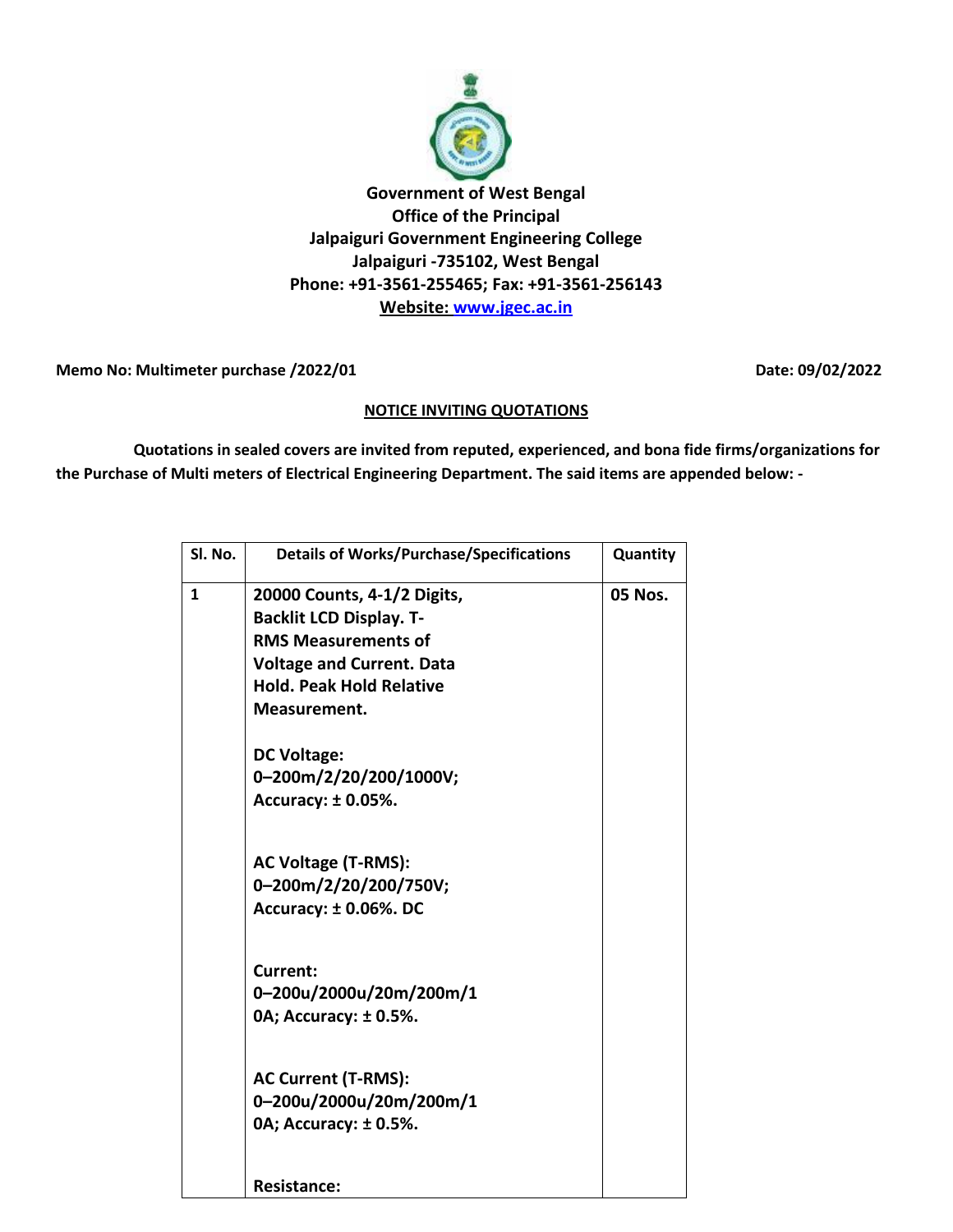

Memo No: Multimeter purchase /2022/01 **Date: 09/02/2022** 

## **NOTICE INVITING QUOTATIONS**

 **Quotations in sealed covers are invited from reputed, experienced, and bona fide firms/organizations for the Purchase of Multi meters of Electrical Engineering Department. The said items are appended below: -**

| Sl. No.      | <b>Details of Works/Purchase/Specifications</b> | Quantity       |
|--------------|-------------------------------------------------|----------------|
|              |                                                 |                |
| $\mathbf{1}$ | 20000 Counts, 4-1/2 Digits,                     | <b>05 Nos.</b> |
|              | <b>Backlit LCD Display. T-</b>                  |                |
|              | <b>RMS Measurements of</b>                      |                |
|              | <b>Voltage and Current. Data</b>                |                |
|              | <b>Hold. Peak Hold Relative</b>                 |                |
|              | Measurement.                                    |                |
|              | <b>DC Voltage:</b>                              |                |
|              | 0-200m/2/20/200/1000V;                          |                |
|              | Accuracy: ± 0.05%.                              |                |
|              | <b>AC Voltage (T-RMS):</b>                      |                |
|              | 0-200m/2/20/200/750V;                           |                |
|              | <b>Accuracy: ± 0.06%. DC</b>                    |                |
|              | Current:                                        |                |
|              | 0-200u/2000u/20m/200m/1                         |                |
|              | 0A; Accuracy: ±0.5%.                            |                |
|              | <b>AC Current (T-RMS):</b>                      |                |
|              | 0-200u/2000u/20m/200m/1                         |                |
|              | 0A; Accuracy: ± 0.5%.                           |                |
|              | <b>Resistance:</b>                              |                |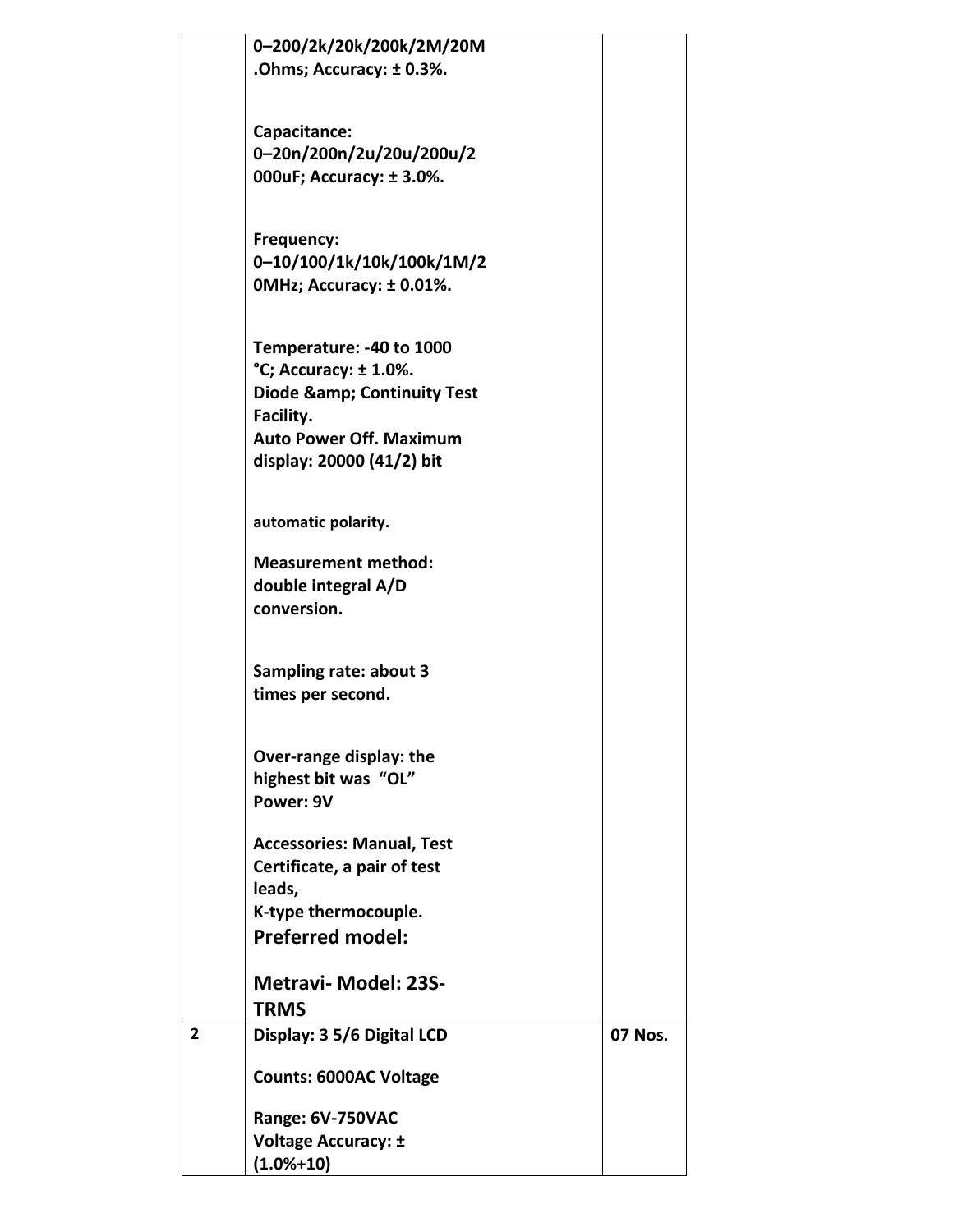|                | 0-200/2k/20k/200k/2M/20M            |         |
|----------------|-------------------------------------|---------|
|                | .Ohms; Accuracy: ±0.3%.             |         |
|                |                                     |         |
|                |                                     |         |
|                | Capacitance:                        |         |
|                | 0-20n/200n/2u/20u/200u/2            |         |
|                | 000uF; Accuracy: ±3.0%.             |         |
|                |                                     |         |
|                |                                     |         |
|                | Frequency:                          |         |
|                | 0-10/100/1k/10k/100k/1M/2           |         |
|                | OMHz; Accuracy: ±0.01%.             |         |
|                |                                     |         |
|                |                                     |         |
|                | Temperature: -40 to 1000            |         |
|                | $^{\circ}$ C; Accuracy: $\pm$ 1.0%. |         |
|                | <b>Diode &amp; Continuity Test</b>  |         |
|                | Facility.                           |         |
|                | <b>Auto Power Off. Maximum</b>      |         |
|                | display: 20000 (41/2) bit           |         |
|                |                                     |         |
|                | automatic polarity.                 |         |
|                |                                     |         |
|                | <b>Measurement method:</b>          |         |
|                | double integral A/D                 |         |
|                | conversion.                         |         |
|                |                                     |         |
|                |                                     |         |
|                | <b>Sampling rate: about 3</b>       |         |
|                | times per second.                   |         |
|                |                                     |         |
|                |                                     |         |
|                | Over-range display: the             |         |
|                | highest bit was "OL"                |         |
|                | Power: 9V                           |         |
|                |                                     |         |
|                | <b>Accessories: Manual, Test</b>    |         |
|                | Certificate, a pair of test         |         |
|                | leads,                              |         |
|                | K-type thermocouple.                |         |
|                | <b>Preferred model:</b>             |         |
|                |                                     |         |
|                | <b>Metravi- Model: 23S-</b>         |         |
|                | <b>TRMS</b>                         |         |
| $\overline{2}$ | Display: 3 5/6 Digital LCD          | 07 Nos. |
|                |                                     |         |
|                | <b>Counts: 6000AC Voltage</b>       |         |
|                |                                     |         |
|                | Range: 6V-750VAC                    |         |
|                | <b>Voltage Accuracy: ±</b>          |         |
|                | $(1.0% + 10)$                       |         |
|                |                                     |         |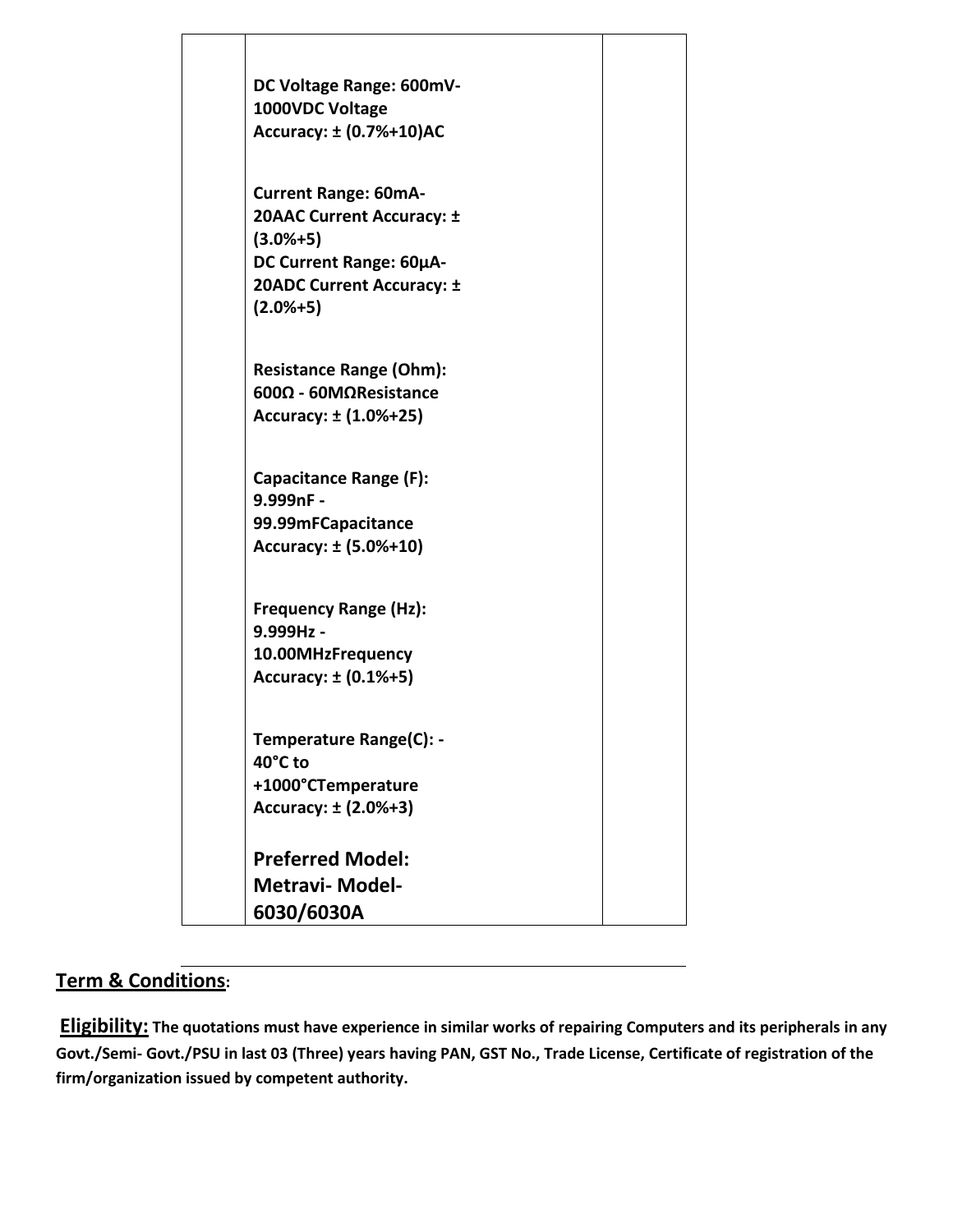

## **Term & Conditions:**

**Eligibility: The quotations must have experience in similar works of repairing Computers and its peripherals in any Govt./Semi- Govt./PSU in last 03 (Three) years having PAN, GST No., Trade License, Certificate of registration of the firm/organization issued by competent authority.**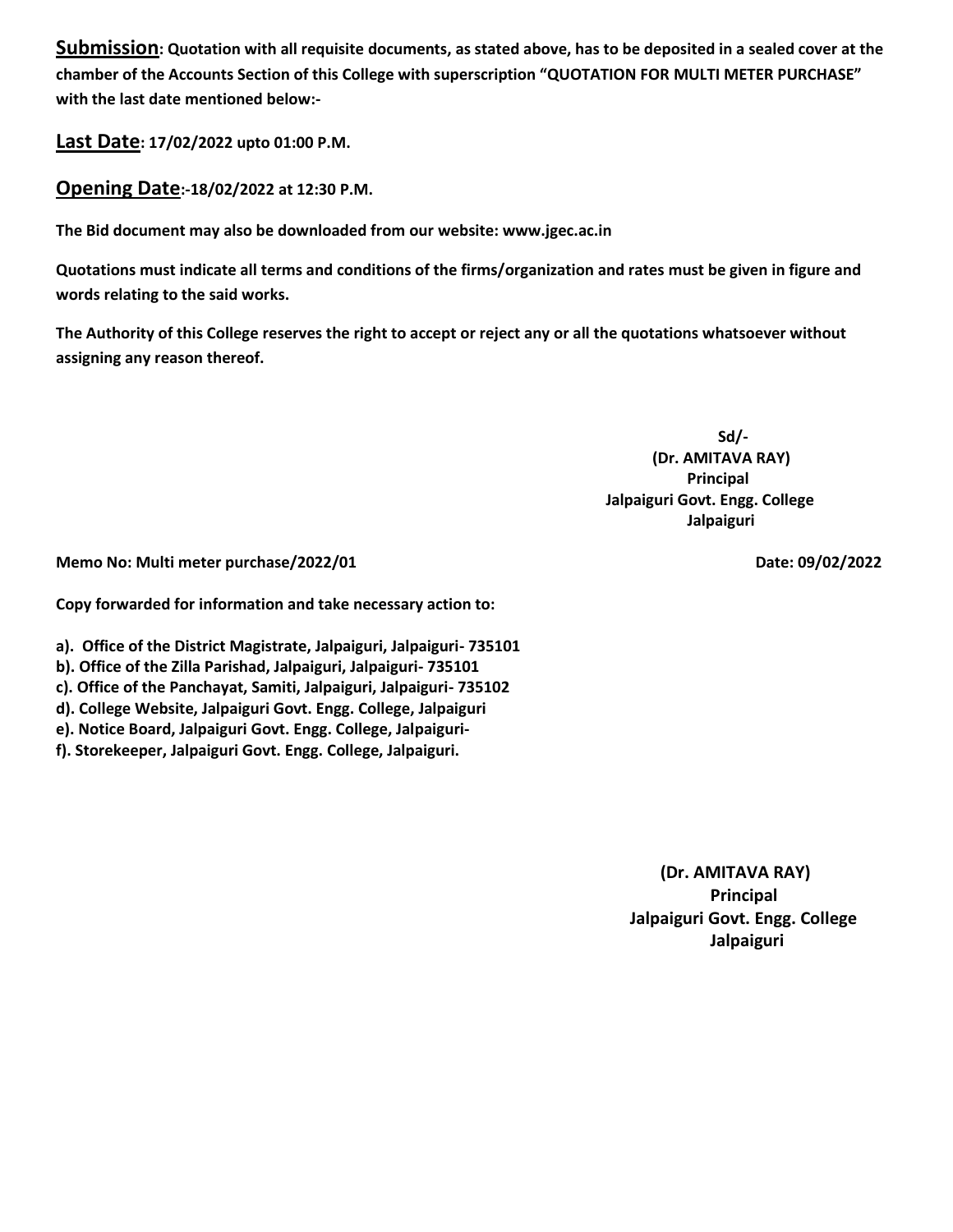**Submission: Quotation with all requisite documents, as stated above, has to be deposited in a sealed cover at the chamber of the Accounts Section of this College with superscription "QUOTATION FOR MULTI METER PURCHASE" with the last date mentioned below:-**

**Last Date: 17/02/2022 upto 01:00 P.M.**

**Opening Date:-18/02/2022 at 12:30 P.M.**

**The Bid document may also be downloaded from our website: www.jgec.ac.in**

**Quotations must indicate all terms and conditions of the firms/organization and rates must be given in figure and words relating to the said works.**

**The Authority of this College reserves the right to accept or reject any or all the quotations whatsoever without assigning any reason thereof.** 

 **Sd/- (Dr. AMITAVA RAY) Principal Jalpaiguri Govt. Engg. College Jalpaiguri**

**Memo No: Multi meter purchase/2022/01 Date: 09/02/2022** 

**Copy forwarded for information and take necessary action to:**

**a). Office of the District Magistrate, Jalpaiguri, Jalpaiguri- 735101**

- **b). Office of the Zilla Parishad, Jalpaiguri, Jalpaiguri- 735101**
- **c). Office of the Panchayat, Samiti, Jalpaiguri, Jalpaiguri- 735102**
- **d). College Website, Jalpaiguri Govt. Engg. College, Jalpaiguri**

**e). Notice Board, Jalpaiguri Govt. Engg. College, Jalpaiguri-**

**f). Storekeeper, Jalpaiguri Govt. Engg. College, Jalpaiguri.** 

 **(Dr. AMITAVA RAY) Principal Jalpaiguri Govt. Engg. College Jalpaiguri**